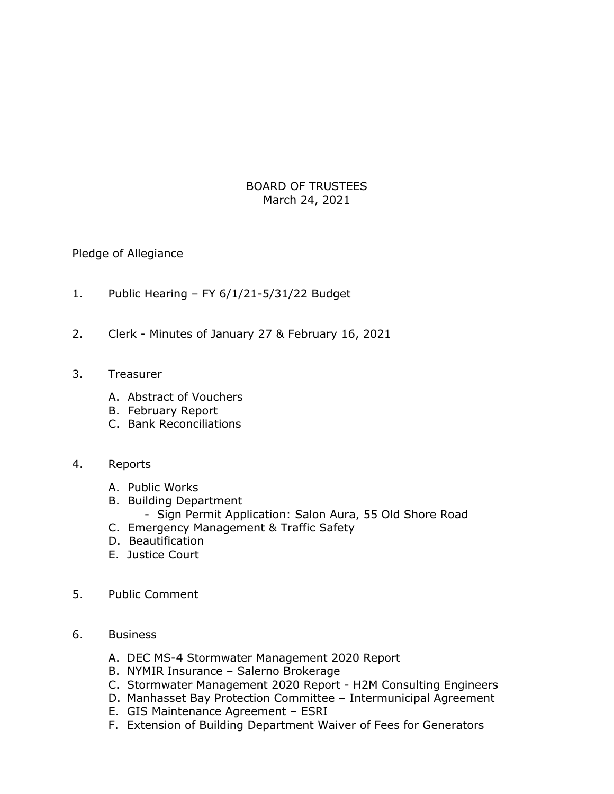BOARD OF TRUSTEES March 24, 2021

## Pledge of Allegiance

- 1. Public Hearing FY 6/1/21-5/31/22 Budget
- 2. Clerk Minutes of January 27 & February 16, 2021
- 3. Treasurer
	- A. Abstract of Vouchers
	- B. February Report
	- C. Bank Reconciliations

## 4. Reports

- A. Public Works
- B. Building Department
	- Sign Permit Application: Salon Aura, 55 Old Shore Road
- C. Emergency Management & Traffic Safety
- D. Beautification
- E. Justice Court
- 5. Public Comment
- 6. Business
	- A. DEC MS-4 Stormwater Management 2020 Report
	- B. NYMIR Insurance Salerno Brokerage
	- C. Stormwater Management 2020 Report H2M Consulting Engineers
	- D. Manhasset Bay Protection Committee Intermunicipal Agreement
	- E. GIS Maintenance Agreement ESRI
	- F. Extension of Building Department Waiver of Fees for Generators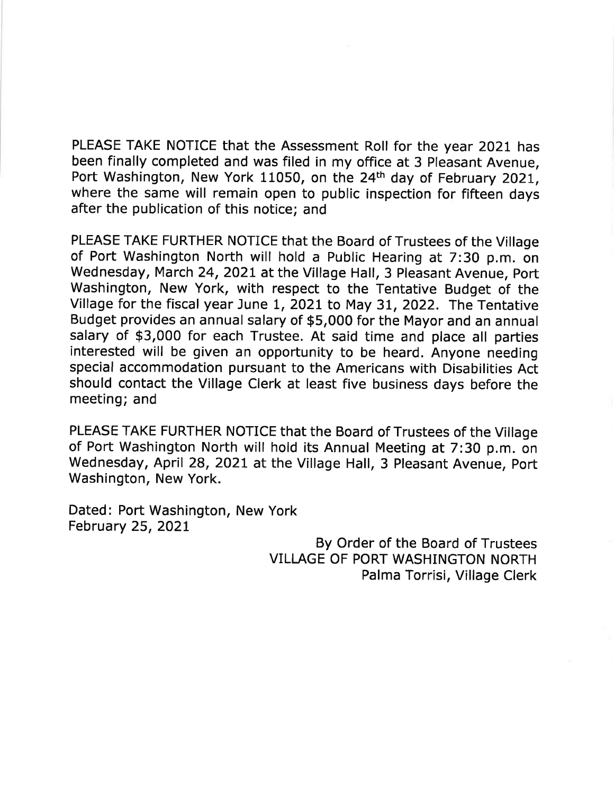PLEASE TAKE NOTICE that the Assessment Roll for the year 2021 has been finally completed and was filed in my office at 3 Pleasant Avenue. Port Washington, New York 11050, on the 24<sup>th</sup> day of February 2021, where the same will remain open to public inspection for fifteen days after the publication of this notice; and

PLEASE TAKE FURTHER NOTICE that the Board of Trustees of the Village of Port Washington North will hold a Public Hearing at 7:30 p.m. on Wednesday, March 24, 2021 at the Village Hall, 3 Pleasant Avenue, Port Washington, New York, with respect to the Tentative Budget of the Village for the fiscal year June 1, 2021 to May 31, 2022. The Tentative Budget provides an annual salary of \$5,000 for the Mayor and an annual salary of \$3,000 for each Trustee. At said time and place all parties interested will be given an opportunity to be heard. Anyone needing special accommodation pursuant to the Americans with Disabilities Act should contact the Village Clerk at least five business days before the meeting; and

PLEASE TAKE FURTHER NOTICE that the Board of Trustees of the Village of Port Washington North will hold its Annual Meeting at 7:30 p.m. on Wednesday, April 28, 2021 at the Village Hall, 3 Pleasant Avenue, Port Washington, New York.

Dated: Port Washington, New York February 25, 2021

> By Order of the Board of Trustees VILLAGE OF PORT WASHINGTON NORTH Palma Torrisi, Village Clerk